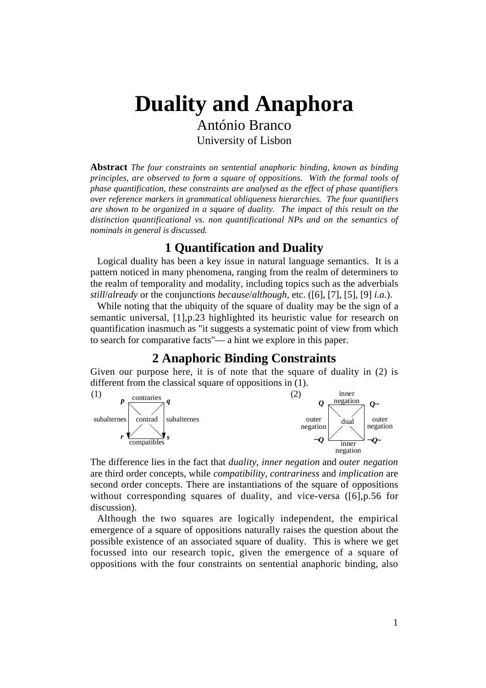# **Duality and Anaphora** António Branco

University of Lisbon

**Abstract** *The four constraints on sentential anaphoric binding, known as binding principles, are observed to form a square of oppositions. With the formal tools of phase quantification, these constraints are analysed as the effect of phase quantifiers over reference markers in grammatical obliqueness hierarchies. The four quantifiers are shown to be organized in a square of duality. The impact of this result on the distinction quantificational vs. non quantificational NPs and on the semantics of nominals in general is discussed.*

## **1 Quantification and Duality**

Logical duality has been a key issue in natural language semantics. It is a pattern noticed in many phenomena, ranging from the realm of determiners to the realm of temporality and modality, including topics such as the adverbials *still*/*already* or the conjunctions *because*/*although,* etc. ([6], [7], [5], [9] *i.a.*).

While noting that the ubiquity of the square of duality may be the sign of a semantic universal, [1],p.23 highlighted its heuristic value for research on quantification inasmuch as "it suggests a systematic point of view from which to search for comparative facts"— a hint we explore in this paper.

## **2 Anaphoric Binding Constraints**

Given our purpose here, it is of note that the square of duality in (2) is different from the classical square of oppositions in (1).



The difference lies in the fact that *duality*, *inner negation* and *outer negation* are third order concepts, while *compatibility*, *contrariness* and *implication* are second order concepts. There are instantiations of the square of oppositions without corresponding squares of duality, and vice-versa ([6], p.56 for discussion).

Although the two squares are logically independent, the empirical emergence of a square of oppositions naturally raises the question about the possible existence of an associated square of duality. This is where we get focussed into our research topic, given the emergence of a square of oppositions with the four constraints on sentential anaphoric binding, also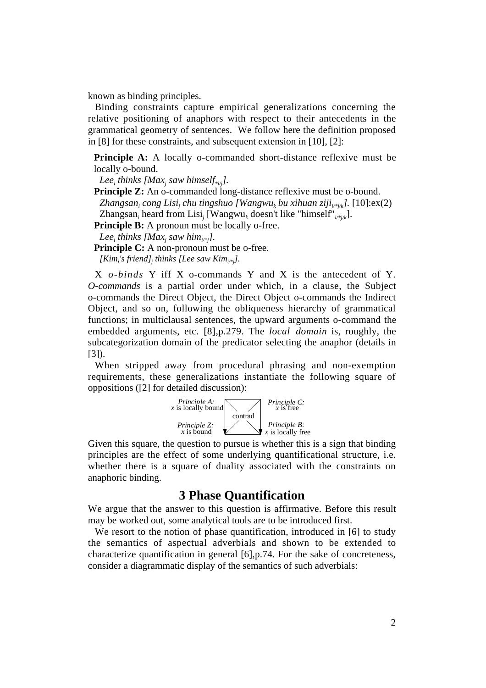known as binding principles.

Binding constraints capture empirical generalizations concerning the relative positioning of anaphors with respect to their antecedents in the grammatical geometry of sentences. We follow here the definition proposed in [8] for these constraints, and subsequent extension in [10], [2]:

**Principle A:** A locally o-commanded short-distance reflexive must be locally o-bound.

Lee<sub>i</sub> thinks [Max<sub>j</sub> saw himself<sub>\*i/j</sub>].

**Principle Z:** An o-commanded long-distance reflexive must be o-bound. Zhangsan<sub>i</sub> cong Lisi<sub>j</sub> chu tingshuo [Wangwu<sub>k</sub> bu xihuan ziji<sub>i/\*j/k</sub>]. [10]: $\rm ex(2)$ Zhangsan*<sup>i</sup>* heard from Lisi*<sup>j</sup>* [Wangwu*k* doesn't like "himself"*i/\*j/k*].

**Principle B:** A pronoun must be locally o-free.

*Leei thinks [Maxj saw himi/\*j].*

**Principle C:** A non-pronoun must be o-free. *[Kimi 's friend]j thinks [Lee saw Kimi/\*j].*

X *o-binds* Y iff X o-commands Y and X is the antecedent of Y. *O-commands* is a partial order under which, in a clause, the Subject o-commands the Direct Object, the Direct Object o-commands the Indirect Object, and so on, following the obliqueness hierarchy of grammatical functions; in multiclausal sentences, the upward arguments o-command the embedded arguments, etc. [8],p.279. The *local domain* is, roughly, the subcategorization domain of the predicator selecting the anaphor (details in [3]).

When stripped away from procedural phrasing and non-exemption requirements, these generalizations instantiate the following square of oppositions ([2] for detailed discussion):



Given this square, the question to pursue is whether this is a sign that binding principles are the effect of some underlying quantificational structure, i.e. whether there is a square of duality associated with the constraints on anaphoric binding.

#### **3 Phase Quantification**

We argue that the answer to this question is affirmative. Before this result may be worked out, some analytical tools are to be introduced first.

We resort to the notion of phase quantification, introduced in [6] to study the semantics of aspectual adverbials and shown to be extended to characterize quantification in general [6],p.74. For the sake of concreteness, consider a diagrammatic display of the semantics of such adverbials: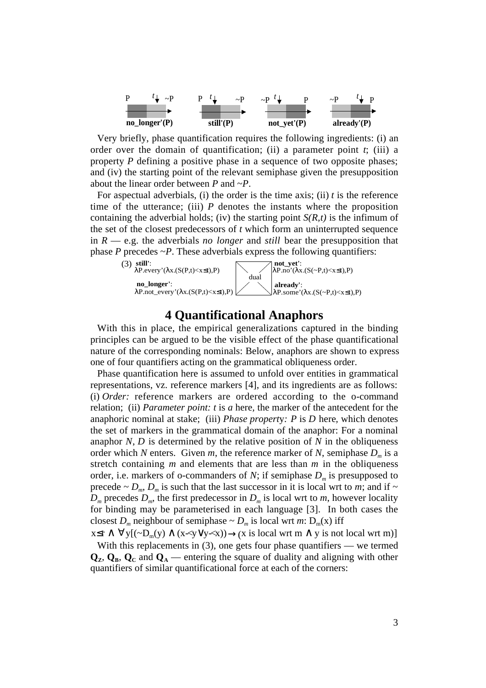

Very briefly, phase quantification requires the following ingredients: (i) an order over the domain of quantification; (ii) a parameter point  $t$ ; (iii) a property *P* defining a positive phase in a sequence of two opposite phases; and (iv) the starting point of the relevant semiphase given the presupposition about the linear order between *P* and ~*P*.

For aspectual adverbials, (i) the order is the time axis; (ii) *t* is the reference time of the utterance; (iii)  $P$  denotes the instants where the proposition containing the adverbial holds; (iv) the starting point  $S(R,t)$  is the infimum of the set of the closest predecessors of *t* which form an uninterrupted sequence in *R* — e.g. the adverbials *no longer* and *still* bear the presupposition that phase *P* precedes  $\sim P$ . These adverbials express the following quantifiers:



#### **4 Quantificational Anaphors**

With this in place, the empirical generalizations captured in the binding principles can be argued to be the visible effect of the phase quantificational nature of the corresponding nominals: Below, anaphors are shown to express one of four quantifiers acting on the grammatical obliqueness order.

Phase quantification here is assumed to unfold over entities in grammatical representations, vz. reference markers [4], and its ingredients are as follows: (i) *Order:* reference markers are ordered according to the o-command relation; (ii) *Parameter point: t* is *a* here*,* the marker of the antecedent for the anaphoric nominal at stake; (iii) *Phase propert*y*: P* is *D* here*,* which denotes the set of markers in the grammatical domain of the anaphor: For a nominal anaphor *N*, *D* is determined by the relative position of *N* in the obliqueness order which *N* enters. Given *m*, the reference marker of *N*, semiphase  $D_m$  is a stretch containing *m* and elements that are less than *m* in the obliqueness order, i.e. markers of o-commanders of *N*; if semiphase  $D_m$  is presupposed to precede  $\sim D_m$ ,  $D_m$  is such that the last successor in it is local wrt to *m*; and if  $\sim$  $D_m$  precedes  $D_m$ , the first predecessor in  $D_m$  is local wrt to *m*, however locality for binding may be parameterised in each language [3]. In both cases the closest  $D_m$  neighbour of semiphase  $\sim D_m$  is local wrt *m*:  $D_m(x)$  iff

 $x \le r \land \forall y [(\neg D_m(y) \land (x \prec y \lor y \prec x)) \rightarrow (x \text{ is local wrt m } \land y \text{ is not local wrt m})]$ With this replacements in  $(3)$ , one gets four phase quantifiers — we termed  $\mathbf{Q}_z$ ,  $\mathbf{Q}_s$ ,  $\mathbf{Q}_c$  and  $\mathbf{Q}_A$  — entering the square of duality and aligning with other quantifiers of similar quantificational force at each of the corners: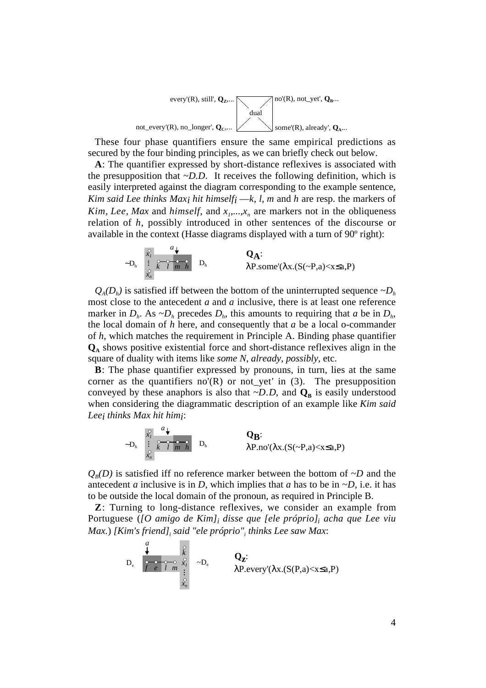

These four phase quantifiers ensure the same empirical predictions as secured by the four binding principles, as we can briefly check out below.

**A**: The quantifier expressed by short-distance reflexives is associated with the presupposition that  $\neg$ *D.D.* It receives the following definition, which is easily interpreted against the diagram corresponding to the example sentence, *Kim said Lee thinks Max<sub>i</sub> hit himself<sub>i</sub> —<i>k*, *l*, *m* and *h* are resp. the markers of *Kim, Lee, Max* and *himself,* and  $x_1, \ldots, x_n$  are markers not in the obliqueness relation of *h*, possibly introduced in other sentences of the discourse or available in the context (Hasse diagrams displayed with a turn of 90º right):



 $Q_A(D_h)$  is satisfied iff between the bottom of the uninterrupted sequence  $\neg D_h$ most close to the antecedent *a* and *a* inclusive, there is at least one reference marker in  $D_h$ . As  $\neg D_h$  precedes  $D_h$ , this amounts to requiring that *a* be in  $D_h$ , the local domain of *h* here, and consequently that *a* be a local o-commander of *h*, which matches the requirement in Principle A. Binding phase quantifier **QA** shows positive existential force and short-distance reflexives align in the square of duality with items like *some N*, *already*, *possibly*, etc.

**B**: The phase quantifier expressed by pronouns, in turn, lies at the same corner as the quantifiers no'(R) or not\_yet*'* in (3). The presupposition conveyed by these anaphors is also that  $\neg D$ . *D*, and  $Q_B$  is easily understood when considering the diagrammatic description of an example like *Kim said Leei thinks Max hit himi*:

$$
\sim D_h \begin{array}{c} \begin{array}{c} \downarrow \\ \downarrow \\ \downarrow \\ \downarrow \\ \downarrow \end{array} & \begin{array}{c} a \\ \downarrow \\ \downarrow \\ \downarrow \end{array} & \begin{array}{c} \mathbf{Q}_B: \\ \downarrow \\ \downarrow \end{array} & \begin{array}{c} \mathbf{Q}_B: \\ \downarrow \\ \downarrow \end{array} \end{array}
$$

 $Q_B(D)$  is satisfied iff no reference marker between the bottom of  $\neg D$  and the antecedent *a* inclusive is in *D*, which implies that *a* has to be in  $\neg D$ , i.e. it has to be outside the local domain of the pronoun, as required in Principle B.

**Z**: Turning to long-distance reflexives, we consider an example from Portuguese (*[O amigo de Kim]i disse que [ele próprio]i acha que Lee viu Max.*) *[Kim's friend]i said "ele próprio"i thinks Lee saw Max*:

$$
\mathbf{D}_{\mathrm{e}} \quad \underset{\mathcal{S}_{n}}{\overset{\smile}{\underset{\smile}{\leftarrow}} \quad \underset{\mathcal{S}_{n}}{\underset{\smile}{\leftarrow}} \quad \underset{\mathcal{S}_{n}}{\overset{\smile}{\leftarrow}} } \quad \sim \mathbf{D}_{\mathrm{e}} \quad \qquad \underset{\mathcal{R}_{n}}{\mathbf{Q}_{\mathbf{Z}}}:} \quad \mathbf{Q}_{\mathbf{Z}}: \quad \lambda \text{P}.\text{every} \text{ } (\lambda x.(\text{S}(P,\text{a}) < x \leq \text{a}, P)
$$

*a*

m.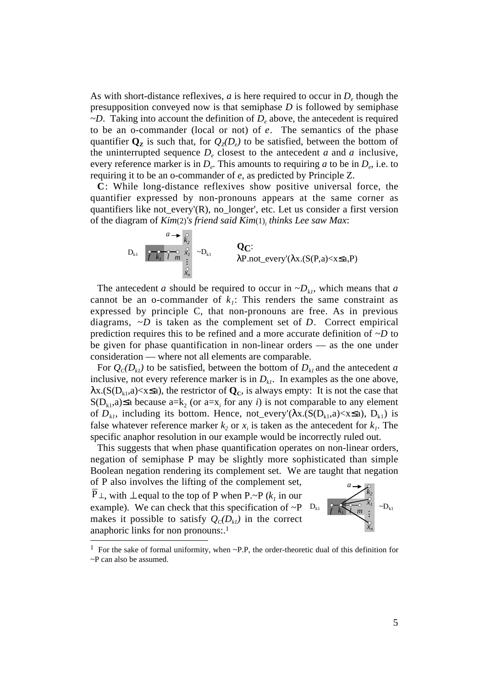As with short-distance reflexives,  $a$  is here required to occur in  $D_{a}$  though the presupposition conveyed now is that semiphase *D* is followed by semiphase  $\neg D$ . Taking into account the definition of  $D_e$  above, the antecedent is required to be an o-commander (local or not) of *e*. The semantics of the phase quantifier  $\mathbf{Q}_z$  is such that, for  $Q_z(D_e)$  to be satisfied, between the bottom of the uninterrupted sequence  $D_e$  closest to the antecedent *a* and *a* inclusive, every reference marker is in  $D_e$ . This amounts to requiring *a* to be in  $D_e$ , i.e. to requiring it to be an o-commander of *e*, as predicted by Principle Z.

**C**: While long-distance reflexives show positive universal force, the quantifier expressed by non-pronouns appears at the same corner as quantifiers like not\_every'(R), no\_longer', etc. Let us consider a first version of the diagram of *Kim*(2)*'s friend said Kim*(1)*<sup>i</sup> thinks Lee saw Max*:

$$
D_{k1} \quad \overbrace{\begin{array}{c}\n\mathbf{C} \\
\mathbf{C} \\
\mathbf{C} \\
\mathbf{C} \\
\mathbf{C} \\
\mathbf{C} \\
\mathbf{C} \\
\mathbf{C} \\
\mathbf{C} \\
\mathbf{C} \\
\mathbf{C} \\
\mathbf{C} \\
\mathbf{C} \\
\mathbf{C} \\
\mathbf{C} \\
\mathbf{C} \\
\mathbf{C} \\
\mathbf{C} \\
\mathbf{C} \\
\mathbf{C} \\
\mathbf{C} \\
\mathbf{C} \\
\mathbf{C} \\
\mathbf{C} \\
\mathbf{C} \\
\mathbf{C} \\
\mathbf{C} \\
\mathbf{C} \\
\mathbf{C} \\
\mathbf{C} \\
\mathbf{C} \\
\mathbf{C} \\
\mathbf{C} \\
\mathbf{C} \\
\mathbf{C} \\
\mathbf{C} \\
\mathbf{C} \\
\mathbf{C} \\
\mathbf{C} \\
\mathbf{C} \\
\mathbf{C} \\
\mathbf{C} \\
\mathbf{C} \\
\mathbf{C} \\
\mathbf{C} \\
\mathbf{C} \\
\mathbf{C} \\
\mathbf{C} \\
\mathbf{C} \\
\mathbf{C} \\
\mathbf{C} \\
\mathbf{C} \\
\mathbf{C} \\
\mathbf{C} \\
\mathbf{C} \\
\mathbf{C} \\
\mathbf{C} \\
\mathbf{C} \\
\mathbf{C} \\
\mathbf{C} \\
\mathbf{C} \\
\mathbf{C} \\
\mathbf{C} \\
\mathbf{C} \\
\mathbf{C} \\
\mathbf{C} \\
\mathbf{C} \\
\mathbf{C} \\
\mathbf{C} \\
\mathbf{C} \\
\mathbf{C} \\
\mathbf{C} \\
\mathbf{C} \\
\mathbf{C} \\
\mathbf{C} \\
\mathbf{C} \\
\mathbf{C} \\
\mathbf{C} \\
\mathbf{C} \\
\mathbf{C} \\
\mathbf{C} \\
\mathbf{C} \\
\mathbf{C} \\
\mathbf{C} \\
\mathbf{C} \\
\mathbf{C} \\
\mathbf{C} \\
\mathbf{C} \\
\mathbf{C} \\
\mathbf{C} \\
\mathbf{C} \\
\mathbf{C} \\
\mathbf{C} \\
\mathbf{C} \\
\mathbf{C} \\
\mathbf{C} \\
\mathbf{C} \\
\mathbf{C} \\
\mathbf{C} \\
\mathbf{C} \\
\mathbf{C} \\
\mathbf{C} \\
\mathbf{C} \\
\mathbf{C} \\
\mathbf{C} \\
\mathbf{C}
$$

The antecedent *a* should be required to occur in  $\neg D_{kl}$ , which means that *a* cannot be an o-commander of  $k<sub>i</sub>$ : This renders the same constraint as expressed by principle C, that non-pronouns are free. As in previous diagrams, ~*D* is taken as the complement set of *D*. Correct empirical prediction requires this to be refined and a more accurate definition of ~*D* to be given for phase quantification in non-linear orders — as the one under consideration — where not all elements are comparable.

For  $Q_c(D_{kl})$  to be satisfied, between the bottom of  $D_{kl}$  and the antecedent *a* inclusive, not every reference marker is in  $D_{kl}$ . In examples as the one above,  $\lambda$ x.(S(D<sub>k1</sub>,a)<x≤a), the restrictor of  $\mathbf{Q}_c$ , is always empty: It is not the case that S( $D_{k1}$ ,a)  $\leq$  a because a= $k_2$  (or a= $x_i$  for any *i*) is not comparable to any element of  $D_{kl}$ , including its bottom. Hence, not\_every'( $\lambda x$ .( $S(D_{kl},a) < x \le a$ ),  $D_{kl}$ ) is false whatever reference marker  $k_2$  or  $x_i$  is taken as the antecedent for  $k_i$ . The specific anaphor resolution in our example would be incorrectly ruled out.

This suggests that when phase quantification operates on non-linear orders, negation of semiphase P may be slightly more sophisticated than simple Boolean negation rendering its complement set. We are taught that negation of P also involves the lifting of the complement set,

 $\overline{P}_\perp$ , with  $\perp$  equal to the top of P when P.~P ( $k_l$  in our example). We can check that this specification of  $\sim P$   $\Gamma_{k_1}$   $\Gamma_{k_2}$   $\Gamma_{m_1}$   $\Gamma_{m_2}$ makes it possible to satisfy  $Q_c(D_k)$  in the correct anaphoric links for non pronouns:.1



<sup>&</sup>lt;sup>1</sup> For the sake of formal uniformity, when  $\sim$ P.P, the order-theoretic dual of this definition for ~P can also be assumed.